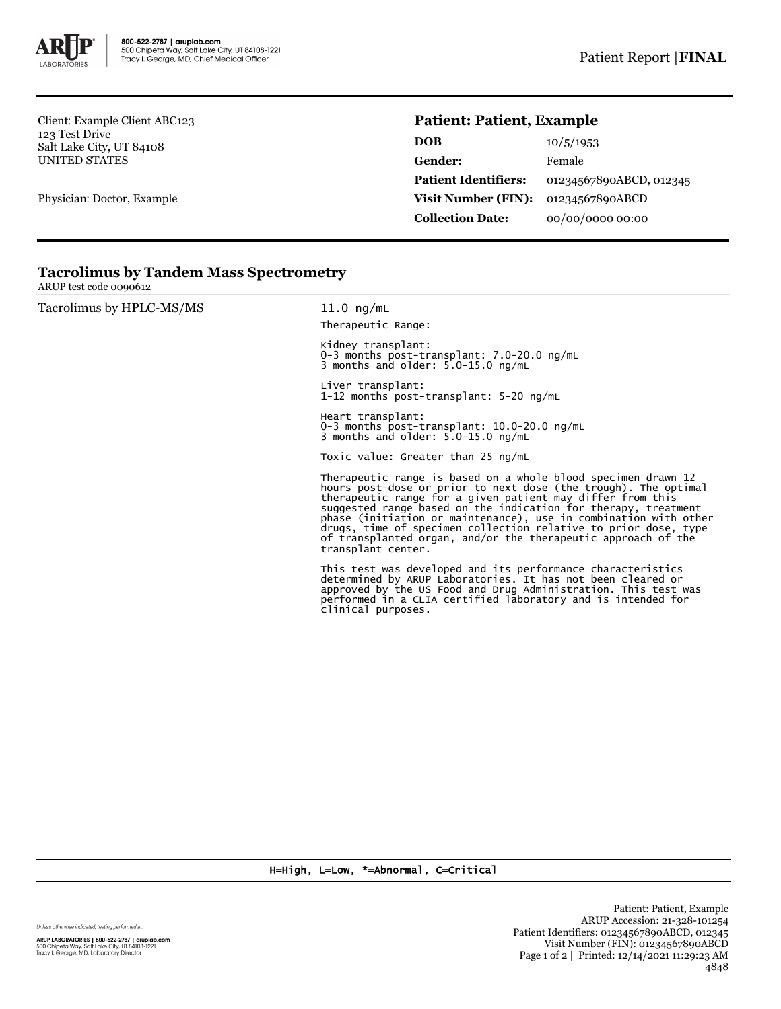

Client: Example Client ABC123 123 Test Drive Salt Lake City, UT 84108 UNITED STATES

Physician: Doctor, Example

## **Patient: Patient, Example**

| DOB                         | 10/5/1953               |  |
|-----------------------------|-------------------------|--|
| Gender:                     | Female                  |  |
| <b>Patient Identifiers:</b> | 01234567890ABCD, 012345 |  |
| Visit Number (FIN):         | 01234567890ABCD         |  |
| <b>Collection Date:</b>     | 00/00/0000 00:00        |  |

| Tacrolimus by HPLC-MS/MS | $11.0$ ng/mL<br>Therapeutic Range:                                                                                                                                                                                                                                                                                                                                                                                                                                                             |  |  |
|--------------------------|------------------------------------------------------------------------------------------------------------------------------------------------------------------------------------------------------------------------------------------------------------------------------------------------------------------------------------------------------------------------------------------------------------------------------------------------------------------------------------------------|--|--|
|                          | Kidney transplant:<br>0-3 months post-transplant: $7.0-20.0$ ng/mL<br>3 months and older: $5.0-15.0$ ng/mL                                                                                                                                                                                                                                                                                                                                                                                     |  |  |
|                          | Liver transplant:<br>1-12 months post-transplant: 5-20 ng/mL                                                                                                                                                                                                                                                                                                                                                                                                                                   |  |  |
|                          | Heart transplant:<br>0-3 months post-transplant: $10.0-20.0$ ng/mL<br>3 months and older: $5.0-15.0$ ng/mL                                                                                                                                                                                                                                                                                                                                                                                     |  |  |
|                          | Toxic value: Greater than 25 ng/mL                                                                                                                                                                                                                                                                                                                                                                                                                                                             |  |  |
|                          | Therapeutic range is based on a whole blood specimen drawn 12<br>hours post-dose or prior to next dose (the trough). The optimal<br>therapeutic range for a given patient may differ from this<br>suggested range based on the indication for therapy, treatment<br>phase (initiation or maintenance), use in combination with other<br>drugs, time of specimen collection relative to prior dose, type<br>of transplanted organ, and/or the therapeutic approach of the<br>transplant center. |  |  |
|                          | This test was developed and its performance characteristics<br>determined by ARUP Laboratories. It has not been cleared or<br>approved by the US Food and Drug Administration. This test was<br>performed in a CLIA certified laboratory and is intended for<br>clinical purposes.                                                                                                                                                                                                             |  |  |

## **Tacrolimus by Tandem Mass Spectrometry**

ARUP test code 0090612

H=High, L=Low, \*=Abnormal, C=Critical

Unless otherwise indicated, testing performed at:

**ARUP LABORATORIES | 800-522-2787 | aruplab.com**<br>500 Chipeta Way, Salt Lake City, UT 84108-1221<br>Tracy I. George, MD, Laboratory Director

Patient: Patient, Example ARUP Accession: 21-328-101254 Patient Identifiers: 01234567890ABCD, 012345 Visit Number (FIN): 01234567890ABCD Page 1 of 2 | Printed: 12/14/2021 11:29:23 AM 4848